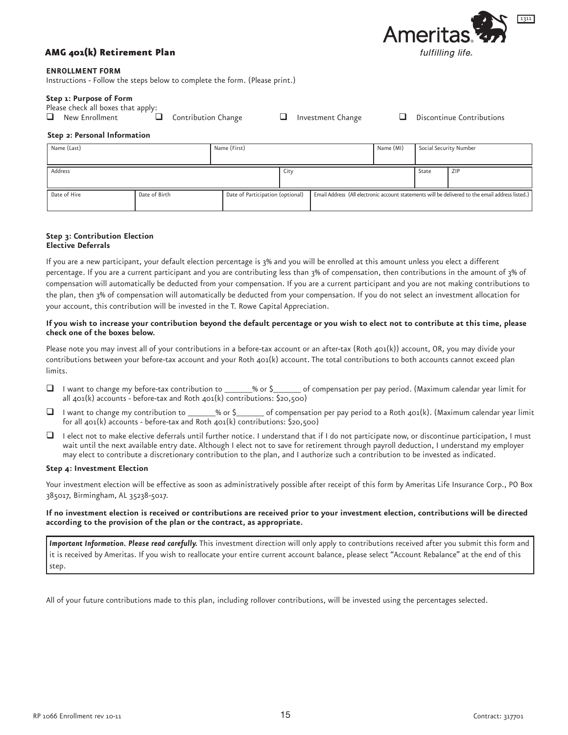

# **AMG 401(k) Retirement Plan**

## **ENROLLMENT FORM**

Instructions - Follow the steps below to complete the form. (Please print.)

# Step 1: Purpose of Form

Please check all boxes that apply:

| Contribution Change<br>New Enrollment |  |
|---------------------------------------|--|
|---------------------------------------|--|

Investment Change

**Discontinue Contributions** 

 $\Box$ 

## Step 2: Personal Information

| Name (Last)  |               | Name (First) |                                  |  | Name (MI)                                                                                        | Social Security Number |     |
|--------------|---------------|--------------|----------------------------------|--|--------------------------------------------------------------------------------------------------|------------------------|-----|
| Address      |               |              | City                             |  |                                                                                                  | State                  | ZIP |
| Date of Hire | Date of Birth |              | Date of Participation (optional) |  | Email Address (All electronic account statements will be delivered to the email address listed.) |                        |     |

 $\Box$ 

#### Step 3: Contribution Election **Elective Deferrals**

If you are a new participant, your default election percentage is 3% and you will be enrolled at this amount unless you elect a different percentage. If you are a current participant and you are contributing less than 3% of compensation, then contributions in the amount of 3% of compensation will automatically be deducted from your compensation. If you are a current participant and you are not making contributions to the plan, then 3% of compensation will automatically be deducted from your compensation. If you do not select an investment allocation for your account, this contribution will be invested in the T. Rowe Capital Appreciation.

## If you wish to increase your contribution beyond the default percentage or you wish to elect not to contribute at this time, please check one of the boxes below.

Please note you may invest all of your contributions in a before-tax account or an after-tax (Roth 401(k)) account, OR, you may divide your contributions between your before-tax account and your Roth  $401(k)$  account. The total contributions to both accounts cannot exceed plan limits

- $\Box$ I want to change my before-tax contribution to  $%$  or \$ of compensation per pay period. (Maximum calendar year limit for | all  $401(k)$  accounts - before-tax and Roth  $401(k)$  contributions: \$20,500)
- $\Box$ I want to change my contribution to \_ of compensation per pay period to a Roth 401(k). (Maximum calendar year limit \_% or \$\_ for all  $401(k)$  accounts - before-tax and Roth  $401(k)$  contributions: \$20,500)
- $\Box$  I elect not to make elective deferrals until further notice. I understand that if I do not participate now, or discontinue participation, I must wait until the next available entry date. Although I elect not to save for retirement through payroll deduction, I understand my employer may elect to contribute a discretionary contribution to the plan, and I authorize such a contribution to be invested as indicated.

# Step 4: Investment Election

Your investment election will be effective as soon as administratively possible after receipt of this form by Ameritas Life Insurance Corp., PO Box 385017, Birmingham, AL 35238-5017.

## If no investment election is received or contributions are received prior to your investment election, contributions will be directed according to the provision of the plan or the contract, as appropriate.

Important Information. Please read carefully. This investment direction will only apply to contributions received after you submit this form and it is received by Ameritas. If you wish to reallocate your entire current account balance, please select "Account Rebalance" at the end of this step.

All of your future contributions made to this plan, including rollover contributions, will be invested using the percentages selected.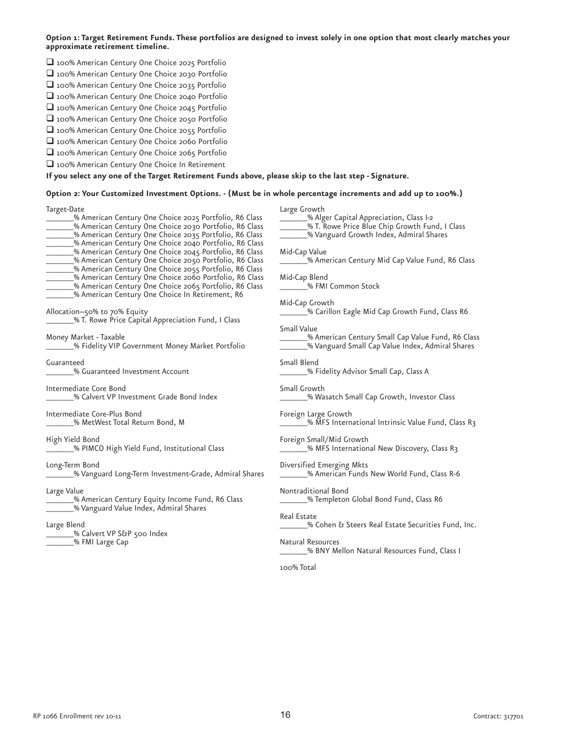Option 1: Target Retirement Funds. These portfolios are designed to invest solely in one option that most clearly matches your approximate retirement timeline.

- 100% American Century One Choice 2025 Portfolio
- 100% American Century One Choice 2030 Portfolio
- 100% American Century One Choice 2035 Portfolio
- 100% American Century One Choice 2040 Portfolio
- 100% American Century One Choice 2045 Portfolio
- 100% American Century One Choice 2050 Portfolio
- 100% American Century One Choice 2055 Portfolio
- 100% American Century One Choice 2060 Portfolio
- 100% American Century One Choice 2065 Portfolio 100% American Century One Choice In Retirement

If you select any one of the Target Retirement Funds above, please skip to the last step - Signature.

Option 2: Your Customized Investment Options. - (Must be in whole percentage increments and add up to 100%.)

| Target-Date                                                                                                                  | Large Growth                                              |
|------------------------------------------------------------------------------------------------------------------------------|-----------------------------------------------------------|
| % American Century One Choice 2025 Portfolio, R6 Class                                                                       | _% Alger Capital Appreciation, Class I-2                  |
| % American Century One Choice 2030 Portfolio, R6 Class                                                                       | ____% T. Rowe Price Blue Chip Growth Fund, I Class        |
| _% American Century One Choice 2035 Portfolio, R6 Class                                                                      | _______% Vanguard Growth Index, Admiral Shares            |
| We American Century One Choice 2040 Portfolio, R6 Class                                                                      |                                                           |
| _% American Century One Choice 2045 Portfolio, R6 Class                                                                      | Mid-Cap Value                                             |
| ______% American Century One Choice 2050 Portfolio, R6 Class                                                                 | _________% American Century Mid Cap Value Fund, R6 Class  |
| _% American Century One Choice 2055 Portfolio, R6 Class                                                                      |                                                           |
| ______% American Century One Choice 2060 Portfolio, R6 Class<br>______% American Century One Choice 2065 Portfolio, R6 Class | Mid-Cap Blend<br>___________% FMI Common Stock            |
| _% American Century One Choice In Retirement, R6                                                                             |                                                           |
|                                                                                                                              | Mid-Cap Growth                                            |
| Allocation--50% to 70% Equity                                                                                                | _% Carillon Eagle Mid Cap Growth Fund, Class R6           |
| ____% T. Rowe Price Capital Appreciation Fund, I Class                                                                       |                                                           |
|                                                                                                                              | <b>Small Value</b>                                        |
| Money Market - Taxable                                                                                                       | _% American Century Small Cap Value Fund, R6 Class        |
| 60 % Fidelity VIP Government Money Market Portfolio                                                                          | _____% Vanguard Small Cap Value Index, Admiral Shares     |
|                                                                                                                              |                                                           |
| Guaranteed                                                                                                                   | Small Blend                                               |
| % Guaranteed Investment Account                                                                                              | _______% Fidelity Advisor Small Cap, Class A              |
| Intermediate Core Bond                                                                                                       | Small Growth                                              |
| % Calvert VP Investment Grade Bond Index                                                                                     | _% Wasatch Small Cap Growth, Investor Class               |
|                                                                                                                              |                                                           |
| Intermediate Core-Plus Bond                                                                                                  | Foreign Large Growth                                      |
| _% MetWest Total Return Bond, M                                                                                              | 63 % MFS International Intrinsic Value Fund, Class R3     |
|                                                                                                                              |                                                           |
| High Yield Bond                                                                                                              | Foreign Small/Mid Growth                                  |
| ______% PIMCO High Yield Fund, Institutional Class                                                                           | ________% MFS International New Discovery, Class R3       |
| Long-Term Bond                                                                                                               | Diversified Emerging Mkts                                 |
| 6 Wanguard Long-Term Investment-Grade, Admiral Shares                                                                        | ___% American Funds New World Fund, Class R-6             |
|                                                                                                                              |                                                           |
| Large Value                                                                                                                  | Nontraditional Bond                                       |
| __% American Century Equity Income Fund, R6 Class                                                                            | _______% Templeton Global Bond Fund, Class R6             |
| ______% Vanguard Value Index, Admiral Shares                                                                                 |                                                           |
|                                                                                                                              | Real Estate                                               |
| Large Blend                                                                                                                  | _______% Cohen & Steers Real Estate Securities Fund, Inc. |
| ______% Calvert VP S&P 500 Index                                                                                             | Natural Resources                                         |
| ______% FMI Large Cap                                                                                                        | _% BNY Mellon Natural Resources Fund, Class I             |
|                                                                                                                              |                                                           |
|                                                                                                                              | 100% Total                                                |
|                                                                                                                              |                                                           |
|                                                                                                                              |                                                           |
|                                                                                                                              |                                                           |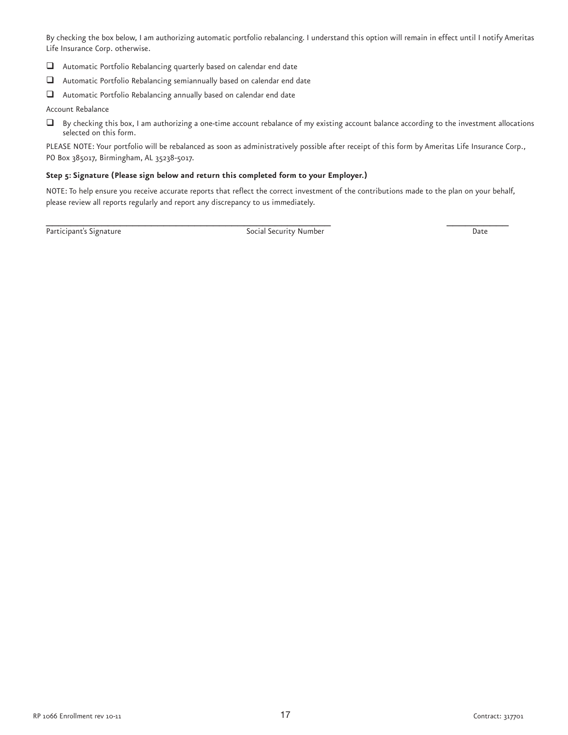By checking the box below, I am authorizing automatic portfolio rebalancing. I understand this option will remain in effect until I notify Ameritas Life Insurance Corp. otherwise.

- $\Box$  Automatic Portfolio Rebalancing quarterly based on calendar end date
- $\Box$  Automatic Portfolio Rebalancing semiannually based on calendar end date
- $\Box$  Automatic Portfolio Rebalancing annually based on calendar end date

Account Rebalance

 $\Box$  By checking this box, I am authorizing a one-time account rebalance of my existing account balance according to the investment allocations selected on this form.

PLEASE NOTE: Your portfolio will be rebalanced as soon as administratively possible after receipt of this form by Ameritas Life Insurance Corp., PO Box 385017, Birmingham, AL 35238-5017.

# Step 5: Signature (Please sign below and return this completed form to your Employer.)

NOTE: To help ensure you receive accurate reports that reflect the correct investment of the contributions made to the plan on your behalf, please review all reports regularly and report any discrepancy to us immediately.

Participant's Signature Date and Social Security Number Date Date Date Date

\_ \_\_\_\_\_\_\_\_\_\_\_\_\_\_\_\_\_\_\_\_\_\_\_\_\_\_\_\_\_\_\_\_\_\_\_\_\_\_\_\_\_\_\_\_\_ \_ \_\_\_\_\_\_\_\_\_